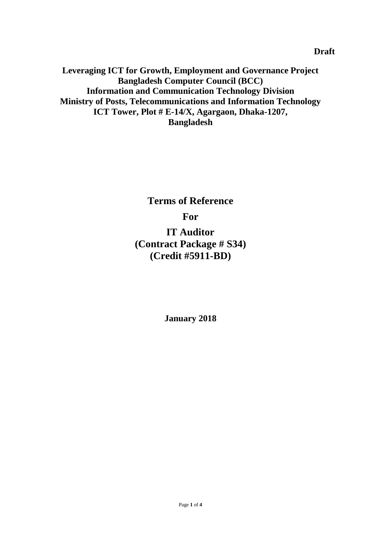**Leveraging ICT for Growth, Employment and Governance Project Bangladesh Computer Council (BCC) Information and Communication Technology Division Ministry of Posts, Telecommunications and Information Technology ICT Tower, Plot # E-14/X, Agargaon, Dhaka-1207, Bangladesh**

> **Terms of Reference For IT Auditor (Contract Package # S34) (Credit #5911-BD)**

> > **January 2018**

**Draft**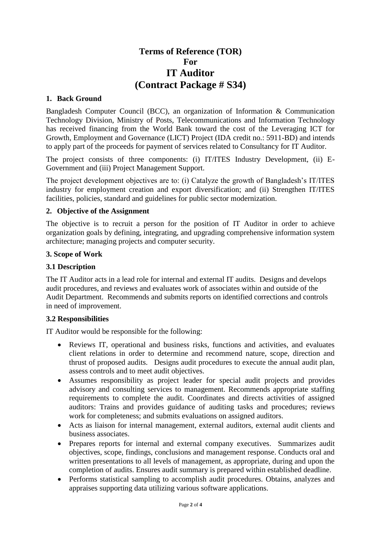# **Terms of Reference (TOR) For IT Auditor (Contract Package # S34)**

## **1. Back Ground**

Bangladesh Computer Council (BCC), an organization of Information & Communication Technology Division, Ministry of Posts, Telecommunications and Information Technology has received financing from the World Bank toward the cost of the Leveraging ICT for Growth, Employment and Governance (LICT) Project (IDA credit no.: 5911-BD) and intends to apply part of the proceeds for payment of services related to Consultancy for IT Auditor.

The project consists of three components: (i) IT/ITES Industry Development, (ii) E-Government and (iii) Project Management Support.

The project development objectives are to: (i) Catalyze the growth of Bangladesh's IT/ITES industry for employment creation and export diversification; and (ii) Strengthen IT/ITES facilities, policies, standard and guidelines for public sector modernization.

### **2. Objective of the Assignment**

The objective is to recruit a person for the position of IT Auditor in order to achieve organization goals by defining, integrating, and upgrading comprehensive information system architecture; managing projects and computer security.

### **3. Scope of Work**

### **3.1 Description**

The IT Auditor acts in a lead role for internal and external IT audits. Designs and develops audit procedures, and reviews and evaluates work of associates within and outside of the Audit Department. Recommends and submits reports on identified corrections and controls in need of improvement.

#### **3.2 Responsibilities**

IT Auditor would be responsible for the following:

- Reviews IT, operational and business risks, functions and activities, and evaluates client relations in order to determine and recommend nature, scope, direction and thrust of proposed audits. Designs audit procedures to execute the annual audit plan, assess controls and to meet audit objectives.
- Assumes responsibility as project leader for special audit projects and provides advisory and consulting services to management. Recommends appropriate staffing requirements to complete the audit. Coordinates and directs activities of assigned auditors: Trains and provides guidance of auditing tasks and procedures; reviews work for completeness; and submits evaluations on assigned auditors.
- Acts as liaison for internal management, external auditors, external audit clients and business associates.
- Prepares reports for internal and external company executives. Summarizes audit objectives, scope, findings, conclusions and management response. Conducts oral and written presentations to all levels of management, as appropriate, during and upon the completion of audits. Ensures audit summary is prepared within established deadline.
- Performs statistical sampling to accomplish audit procedures. Obtains, analyzes and appraises supporting data utilizing various software applications.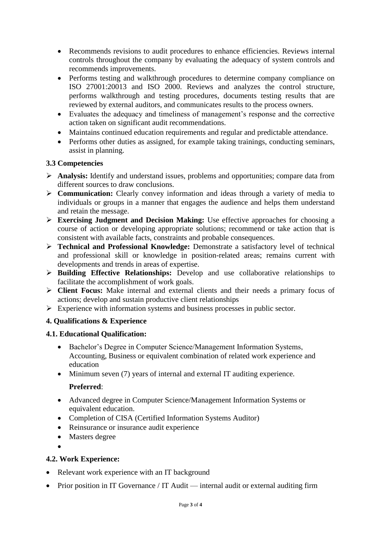- Recommends revisions to audit procedures to enhance efficiencies. Reviews internal controls throughout the company by evaluating the adequacy of system controls and recommends improvements.
- Performs testing and walkthrough procedures to determine company compliance on ISO 27001:20013 and ISO 2000. Reviews and analyzes the control structure, performs walkthrough and testing procedures, documents testing results that are reviewed by external auditors, and communicates results to the process owners.
- Evaluates the adequacy and timeliness of management's response and the corrective action taken on significant audit recommendations.
- Maintains continued education requirements and regular and predictable attendance.
- Performs other duties as assigned, for example taking trainings, conducting seminars, assist in planning.

# **3.3 Competencies**

- **Analysis:** Identify and understand issues, problems and opportunities; compare data from different sources to draw conclusions.
- **Communication:** Clearly convey information and ideas through a variety of media to individuals or groups in a manner that engages the audience and helps them understand and retain the message.
- **Exercising Judgment and Decision Making:** Use effective approaches for choosing a course of action or developing appropriate solutions; recommend or take action that is consistent with available facts, constraints and probable consequences.
- **Technical and Professional Knowledge:** Demonstrate a satisfactory level of technical and professional skill or knowledge in position-related areas; remains current with developments and trends in areas of expertise.
- **Building Effective Relationships:** Develop and use collaborative relationships to facilitate the accomplishment of work goals.
- **Client Focus:** Make internal and external clients and their needs a primary focus of actions; develop and sustain productive client relationships
- $\triangleright$  Experience with information systems and business processes in public sector.

# **4. Qualifications & Experience**

# **4.1. Educational Qualification:**

- Bachelor's Degree in Computer Science/Management Information Systems, Accounting, Business or equivalent combination of related work experience and education
- Minimum seven (7) years of internal and external IT auditing experience.

# **Preferred**:

- Advanced degree in Computer Science/Management Information Systems or equivalent education.
- Completion of CISA (Certified Information Systems Auditor)
- Reinsurance or insurance audit experience
- Masters degree
- $\bullet$

# **4.2. Work Experience:**

- Relevant work experience with an IT background
- Prior position in IT Governance / IT Audit internal audit or external auditing firm